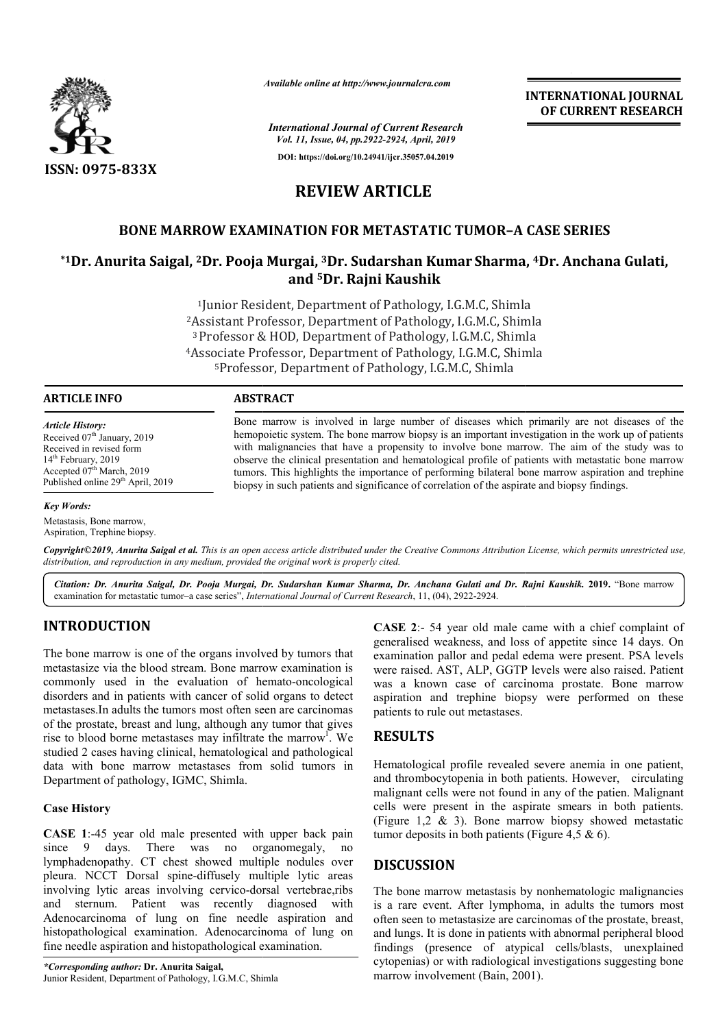

*Available online at http://www.journalcra.com*

*International Journal of Current Research Vol. 11, Issue, 04, pp.2922-2924, April, 2019*

**DOI: https://doi.org/10.24941/ijcr.35057.04.2019**

## **REVIEW ARTICLE**

## **BONE MARROW EXAMINATION FOR METASTATIC TUMOR TUMOR–A CASE SERIES**

# BONE MARROW EXAMINATION FOR METASTATIC TUMOR-A CASE SERIES<br><sup>1</sup>Dr. Anurita Saigal, <sup>2</sup>Dr. Pooja Murgai, <sup>3</sup>Dr. Sudarshan Kumar Sharma, <sup>4</sup>Dr. Anchana Gulati, **and 5Dr. Rajni Kaushik**

<sup>1</sup>Junior Resident, Department of Pathology, I.G.M.C, Shimla 2Assistant Professor, Assistant Department of Pathology, I.G.M.C, Shimla 3 Professor & HOD, Department of Pathology, I.G.M.C, Shimla <sup>4</sup>Associate Professor, Department of Pathology, I.G.M.C, Shimla 5Professor, Professor, Department of Pathology, I.G.M.C, Shimla

#### **ARTICLE INFO ABSTRACT**

*Article History:*

Received 07<sup>th</sup> January, 2019 Received in revised form 14<sup>th</sup> February, 2019 Accepted 07<sup>th</sup> March, 2019 Published online 29<sup>th</sup> April, 2019

#### *Key Words:*

Metastasis, Bone marrow, Aspiration, Trephine biopsy.

Bone marrow is involved in large number of diseases which primarily are not diseases of the hemopoietic system. The bone marrow biopsy is an important investigation in the work up of patients Bone marrow is involved in large number of diseases which primarily are not diseases of the hemopoietic system. The bone marrow biopsy is an important investigation in the work up of patients with malignancies that have a observe the clinical presentation and hematological profile of patients with metastatic bone marrow tumors. This highlights the importance of performing bilateral bone marrow aspiration and trephine biopsy in such patients and significance of correlation of the aspirate and biopsy findings. observe the clinical presentation and hematological profile of patients with metastatic t<br>tumors. This highlights the importance of performing bilateral bone marrow aspiration<br>biopsy in such patients and significance of co

Copyright©2019, Anurita Saigal et al. This is an open access article distributed under the Creative Commons Attribution License, which permits unrestricted use, *distribution, and reproduction in any medium, provided the original work is properly cited.*

*Citation: Dr. Anurita Saigal, Dr. Pooja Murgai, Dr. Sudarshan Kumar Sharma, Dr. Anchana Gulati and Dr. Rajni Kaushik Rajni Kaushik.* **2019.** "Bone marrow examination for metastatic tumor–a case series", *International Journal of Current Research* , 11, (04), 2922-2924.

## **INTRODUCTION**

The bone marrow is one of the organs involved by tumors that metastasize via the blood stream. Bone marrow examination is commonly used in the evaluation of hemato-oncological disorders and in patients with cancer of solid organs to detect metastases.In adults the tumors most often seen are carcinomas of the prostate, breast and lung, although any tumor that gives rise to blood borne metastases may infiltrate the marrow<sup>1</sup>. We studied 2 cases having clinical, hematological and pathological data with bone marrow metastases from solid tumors in Department of pathology, IGMC, Shimla. 1900 CT10 a complete that of particle complaints of the original to the complete that the complete that the best of the evaluation of hemato-oncological was a known case of carecinoma prostate. Bone marrow the visual in th

#### **Case History**

**CASE 1**:-45 year old male presented with upper back pain since 9 days. There was no organomegaly, no lymphadenopathy. CT chest showed multiple nodules over pleura. NCCT Dorsal spine-diffusely multiple lytic areas involving lytic areas involving cervico-dorsal vertebrae,ribs and sternum. Patient was recently diagnosed with Adenocarcinoma of lung on fine needle aspiration and histopathological examination. Adenocarcinoma of lung on fine needle aspiration and histopathological examination.

*\*Corresponding author:* **Dr. Anurita Saigal,** Junior Resident, Department of Pathology, I.G.M.C, Shimla

**CASE 2:- 54 year old male came with a chief complaint of generalised weakness, and loss of appetite since 14 days. On** examination pallor and pedal edema were present. PSA levels were raised. AST, ALP, GGTP levels were also raised. Patient was a known case of carcinoma prostate. Bone marrow aspiration and trephine biopsy were performed on these patients to rule out metastases.

**INTERNATIONAL JOURNAL OF CURRENT RESEARCH**

## **RESULTS**

Hematological profile revealed severe anemia in one patient, and thrombocytopenia in both patients. However, circulating malignant cells were not found in any of the patien. cells were present in the aspirate smears in both patients. (Figure 1,2 & 3). Bone marrow biopsy showed metastatic tumor deposits in both patients (Figure 4,5 & 6). Hematological profile revealed severe anemia in one patient, and thrombocytopenia in both patients. However, circulating malignant cells were not found in any of the patien. Malignant

#### **DISCUSSION**

The bone marrow metastasis by nonhematologic malignancies is a rare event. After lymphoma, in adults the tumors most often seen to metastasize are carcinomas of the prostate, breast, and lungs. It is done in patients with abnormal peripheral blood findings (presence of atypical cells/blasts, unexplained cytopenias) or with radiological investigations suggesting bone marrow involvement (Bain, 2001). non-<br>net. After lymphoma, in adults the<br>metastasize are carcinomas of the pr<br>is done in patients with abnormal per<br>resence of atypical cells/blasts,<br>or with radiological investigations sug<br>lvement (Bain, 2001).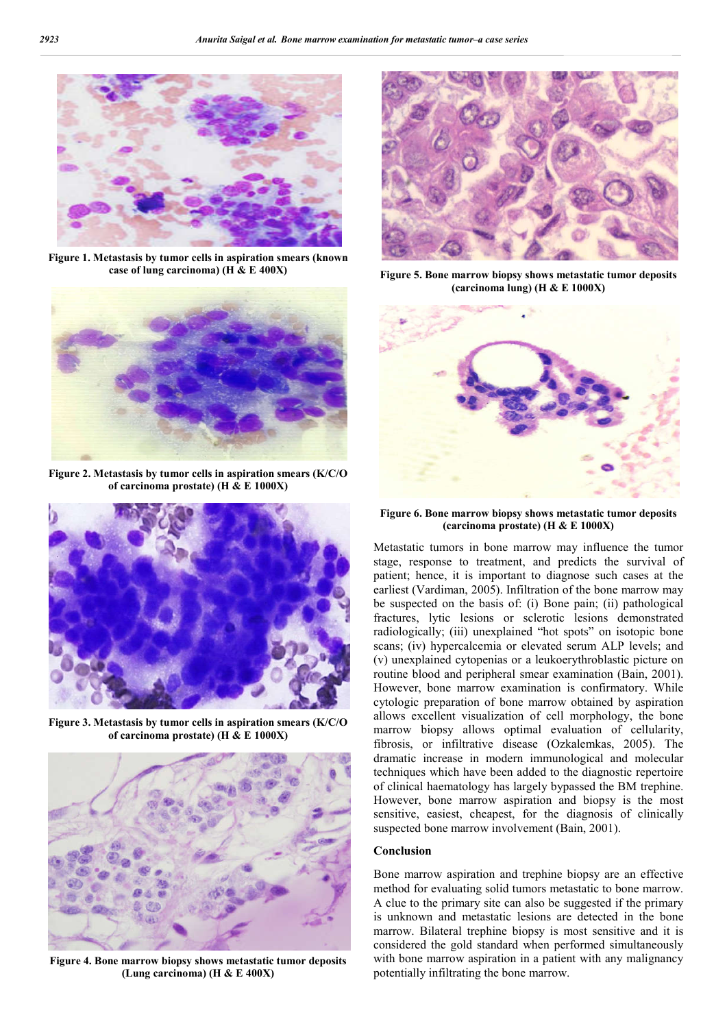

**Figure 1. Metastasis by tumor cells in aspiration smears (known case of lung carcinoma) (H & E 400X)**



**Figure 2. Metastasis by tumor cells in aspiration smears (K/C/O of carcinoma prostate) (H & E 1000X)**



**Figure 3. Metastasis by tumor cells in aspiration smears (K/C/O of carcinoma prostate) (H & E 1000X)**



**Figure 4. Bone marrow biopsy shows metastatic tumor deposits (Lung carcinoma) (H & E 400X)**



**Figure 5. Bone marrow biopsy shows metastatic tumor deposits (carcinoma lung) (H & E 1000X)**



**Figure 6. Bone marrow biopsy shows metastatic tumor deposits (carcinoma prostate) (H & E 1000X)**

Metastatic tumors in bone marrow may influence the tumor stage, response to treatment, and predicts the survival of patient; hence, it is important to diagnose such cases at the earliest (Vardiman, 2005). Infiltration of the bone marrow may be suspected on the basis of: (i) Bone pain; (ii) pathological fractures, lytic lesions or sclerotic lesions demonstrated radiologically; (iii) unexplained "hot spots" on isotopic bone scans; (iv) hypercalcemia or elevated serum ALP levels; and (v) unexplained cytopenias or a leukoerythroblastic picture on routine blood and peripheral smear examination (Bain, 2001). However, bone marrow examination is confirmatory. While cytologic preparation of bone marrow obtained by aspiration allows excellent visualization of cell morphology, the bone marrow biopsy allows optimal evaluation of cellularity, fibrosis, or infiltrative disease (Ozkalemkas, 2005). The dramatic increase in modern immunological and molecular techniques which have been added to the diagnostic repertoire of clinical haematology has largely bypassed the BM trephine. However, bone marrow aspiration and biopsy is the most sensitive, easiest, cheapest, for the diagnosis of clinically suspected bone marrow involvement (Bain, 2001).

#### **Conclusion**

Bone marrow aspiration and trephine biopsy are an effective method for evaluating solid tumors metastatic to bone marrow. A clue to the primary site can also be suggested if the primary is unknown and metastatic lesions are detected in the bone marrow. Bilateral trephine biopsy is most sensitive and it is considered the gold standard when performed simultaneously with bone marrow aspiration in a patient with any malignancy potentially infiltrating the bone marrow.